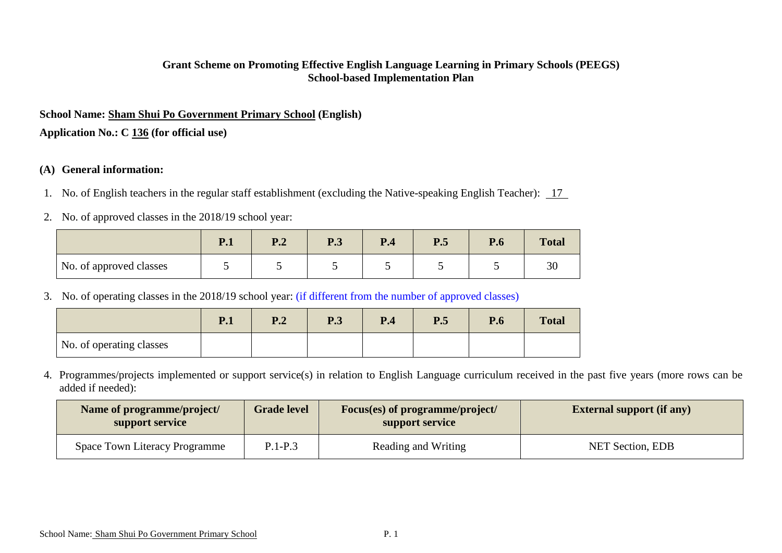#### **Grant Scheme on Promoting Effective English Language Learning in Primary Schools (PEEGS) School-based Implementation Plan**

## **School Name: Sham Shui Po Government Primary School (English)**

**Application No.: C 136 (for official use)**

### **(A) General information:**

- 1. No. of English teachers in the regular staff establishment (excluding the Native-speaking English Teacher): 17
- 2. No. of approved classes in the 2018/19 school year:

|                         | $r_{\cdot}$ | D 1<br>⊥ .∠ | D 2<br>$\mathbf{r}$ .J | P <sub>4</sub> | P.5 | D<br>r.o | <b>Total</b> |
|-------------------------|-------------|-------------|------------------------|----------------|-----|----------|--------------|
| No. of approved classes |             |             |                        |                |     |          | $\sim$<br>эl |

3. No. of operating classes in the 2018/19 school year: (if different from the number of approved classes)

|                          | P.1 | $\mathbf{D}$ $\mathbf{\Omega}$<br>⊥ •∠ | D 2<br>r. J | P.4 | P.5 | P.6 | <b>Total</b> |
|--------------------------|-----|----------------------------------------|-------------|-----|-----|-----|--------------|
| No. of operating classes |     |                                        |             |     |     |     |              |

4. Programmes/projects implemented or support service(s) in relation to English Language curriculum received in the past five years (more rows can be added if needed):

| Name of programme/project/<br>support service | <b>Grade level</b> | <b>Focus(es) of programme/project/</b><br>support service | <b>External support (if any)</b> |
|-----------------------------------------------|--------------------|-----------------------------------------------------------|----------------------------------|
| <b>Space Town Literacy Programme</b>          | $P.1-P.3$          | Reading and Writing                                       | <b>NET Section, EDB</b>          |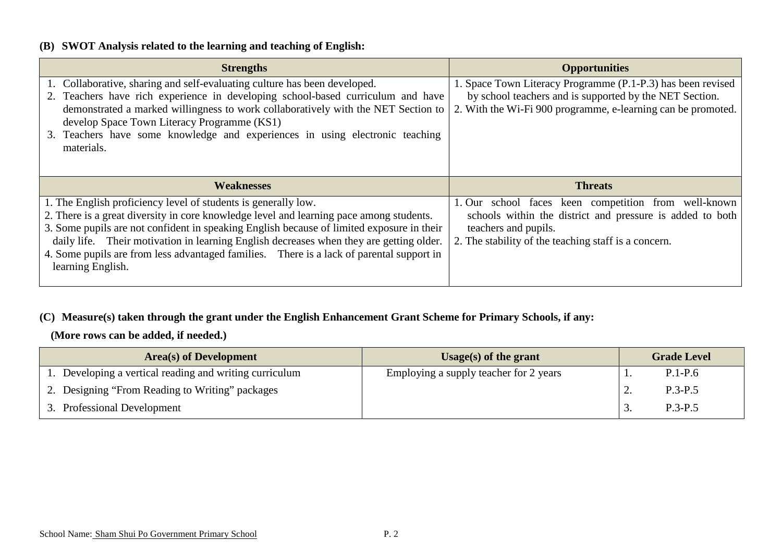### **(B) SWOT Analysis related to the learning and teaching of English:**

| <b>Strengths</b>                                                                                                                                                                                                                                                                                                                                                                               | <b>Opportunities</b>                                                                                                                                                                   |
|------------------------------------------------------------------------------------------------------------------------------------------------------------------------------------------------------------------------------------------------------------------------------------------------------------------------------------------------------------------------------------------------|----------------------------------------------------------------------------------------------------------------------------------------------------------------------------------------|
| 1. Collaborative, sharing and self-evaluating culture has been developed.<br>2. Teachers have rich experience in developing school-based curriculum and have<br>demonstrated a marked willingness to work collaboratively with the NET Section to<br>develop Space Town Literacy Programme (KS1)<br>3. Teachers have some knowledge and experiences in using electronic teaching<br>materials. | 1. Space Town Literacy Programme (P.1-P.3) has been revised<br>by school teachers and is supported by the NET Section.<br>2. With the Wi-Fi 900 programme, e-learning can be promoted. |
|                                                                                                                                                                                                                                                                                                                                                                                                |                                                                                                                                                                                        |
| <b>Weaknesses</b>                                                                                                                                                                                                                                                                                                                                                                              | <b>Threats</b>                                                                                                                                                                         |

### **(C) Measure(s) taken through the grant under the English Enhancement Grant Scheme for Primary Schools, if any:**

**(More rows can be added, if needed.)**

| <b>Area</b> (s) of Development                       | Usage(s) of the grant                  | <b>Grade Level</b> |
|------------------------------------------------------|----------------------------------------|--------------------|
| Developing a vertical reading and writing curriculum | Employing a supply teacher for 2 years | $P.1-P.6$          |
| 2. Designing "From Reading to Writing" packages      |                                        | $P.3-P.5$          |
| 3. Professional Development                          |                                        | $P.3-P.5$          |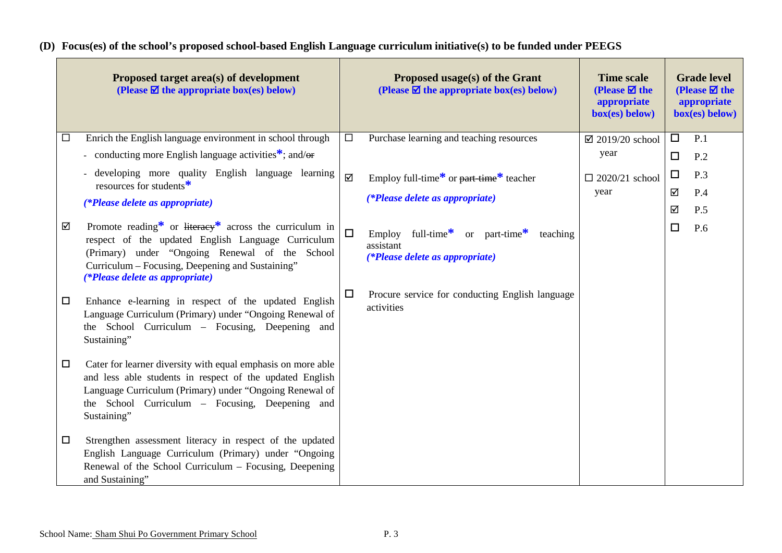# **(D) Focus(es) of the school's proposed school-based English Language curriculum initiative(s) to be funded under PEEGS**

|        | Proposed target area(s) of development<br>(Please $\overline{\mathbf{\mathcal{Q}}}$ the appropriate box(es) below)                                                                                                                                    |        | Proposed usage(s) of the Grant<br>(Please $\overline{\mathbf{\mathcal{Q}}}$ the appropriate box(es) below)         | <b>Time scale</b><br>(Please $\boxtimes$ the<br>appropriate<br>box(es) below) |        | <b>Grade level</b><br>(Please $\overline{\mathbf{z}}$ the<br>appropriate<br>box(es) below) |
|--------|-------------------------------------------------------------------------------------------------------------------------------------------------------------------------------------------------------------------------------------------------------|--------|--------------------------------------------------------------------------------------------------------------------|-------------------------------------------------------------------------------|--------|--------------------------------------------------------------------------------------------|
| □      | Enrich the English language environment in school through                                                                                                                                                                                             | $\Box$ | Purchase learning and teaching resources                                                                           | $\boxtimes$ 2019/20 school                                                    | $\Box$ | P.1                                                                                        |
|        | - conducting more English language activities <sup>*</sup> ; and/ $\Theta$ <b>r</b>                                                                                                                                                                   |        |                                                                                                                    | year                                                                          | $\Box$ | P <sub>2</sub>                                                                             |
|        | developing more quality English language learning<br>resources for students <sup>*</sup>                                                                                                                                                              | ☑      | Employ full-time <sup>*</sup> or <del>part time</del> * teacher                                                    | $\Box$ 2020/21 school                                                         | $\Box$ | P.3                                                                                        |
|        | (*Please delete as appropriate)                                                                                                                                                                                                                       |        | (*Please delete as appropriate)                                                                                    | year                                                                          | ☑      | P.4                                                                                        |
|        |                                                                                                                                                                                                                                                       |        |                                                                                                                    |                                                                               | ☑      | P.5                                                                                        |
| ☑      | Promote reading* or literacy* across the curriculum in<br>respect of the updated English Language Curriculum<br>(Primary) under "Ongoing Renewal of the School<br>Curriculum – Focusing, Deepening and Sustaining"<br>(*Please delete as appropriate) | $\Box$ | full-time $*$<br>or part-time $\ddot{\cdot}$<br>Employ<br>teaching<br>assistant<br>(*Please delete as appropriate) |                                                                               | $\Box$ | P.6                                                                                        |
| $\Box$ | Enhance e-learning in respect of the updated English<br>Language Curriculum (Primary) under "Ongoing Renewal of<br>the School Curriculum – Focusing, Deepening and<br>Sustaining"                                                                     | $\Box$ | Procure service for conducting English language<br>activities                                                      |                                                                               |        |                                                                                            |
| $\Box$ | Cater for learner diversity with equal emphasis on more able<br>and less able students in respect of the updated English<br>Language Curriculum (Primary) under "Ongoing Renewal of<br>the School Curriculum - Focusing, Deepening and<br>Sustaining" |        |                                                                                                                    |                                                                               |        |                                                                                            |
| $\Box$ | Strengthen assessment literacy in respect of the updated<br>English Language Curriculum (Primary) under "Ongoing<br>Renewal of the School Curriculum - Focusing, Deepening<br>and Sustaining"                                                         |        |                                                                                                                    |                                                                               |        |                                                                                            |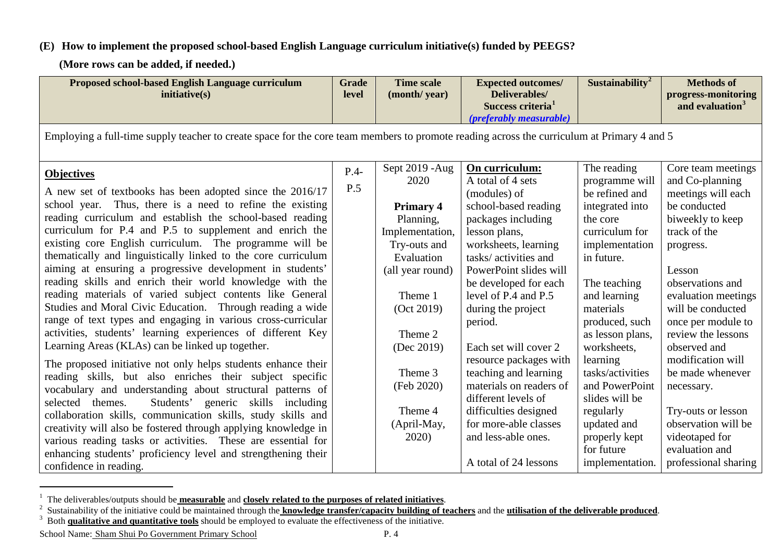### **(E) How to implement the proposed school-based English Language curriculum initiative(s) funded by PEEGS?**

<span id="page-3-2"></span><span id="page-3-1"></span><span id="page-3-0"></span>**(More rows can be added, if needed.)**

| <b>Proposed school-based English Language curriculum</b><br>initiative(s)                                                                  | <b>Grade</b><br>level | <b>Time scale</b><br>(month/year) | <b>Expected outcomes/</b><br>Deliverables/<br>Success criteria <sup>1</sup><br><i>(preferably measurable)</i> | Sustainability <sup>2</sup> | <b>Methods of</b><br>progress-monitoring<br>and evaluation <sup>3</sup> |  |  |  |  |  |
|--------------------------------------------------------------------------------------------------------------------------------------------|-----------------------|-----------------------------------|---------------------------------------------------------------------------------------------------------------|-----------------------------|-------------------------------------------------------------------------|--|--|--|--|--|
| Employing a full-time supply teacher to create space for the core team members to promote reading across the curriculum at Primary 4 and 5 |                       |                                   |                                                                                                               |                             |                                                                         |  |  |  |  |  |
| <b>Objectives</b>                                                                                                                          | $P.4-$                | Sept 2019 - Aug                   | On curriculum:                                                                                                | The reading                 | Core team meetings                                                      |  |  |  |  |  |
|                                                                                                                                            | P.5                   | 2020                              | A total of 4 sets                                                                                             | programme will              | and Co-planning                                                         |  |  |  |  |  |
| A new set of textbooks has been adopted since the 2016/17<br>school year. Thus, there is a need to refine the existing                     |                       |                                   | (modules) of                                                                                                  | be refined and              | meetings will each                                                      |  |  |  |  |  |
| reading curriculum and establish the school-based reading                                                                                  |                       | <b>Primary 4</b><br>Planning,     | school-based reading<br>packages including                                                                    | integrated into<br>the core | be conducted<br>biweekly to keep                                        |  |  |  |  |  |
| curriculum for P.4 and P.5 to supplement and enrich the                                                                                    |                       | Implementation,                   | lesson plans,                                                                                                 | curriculum for              | track of the                                                            |  |  |  |  |  |
| existing core English curriculum. The programme will be                                                                                    |                       | Try-outs and                      | worksheets, learning                                                                                          | implementation              | progress.                                                               |  |  |  |  |  |
| the matically and linguistically linked to the core curriculum                                                                             |                       | Evaluation                        | tasks/activities and                                                                                          | in future.                  |                                                                         |  |  |  |  |  |
| aiming at ensuring a progressive development in students'                                                                                  |                       | (all year round)                  | PowerPoint slides will                                                                                        |                             | Lesson                                                                  |  |  |  |  |  |
| reading skills and enrich their world knowledge with the                                                                                   |                       |                                   | be developed for each                                                                                         | The teaching                | observations and                                                        |  |  |  |  |  |
| reading materials of varied subject contents like General                                                                                  |                       | Theme 1                           | level of P.4 and P.5                                                                                          | and learning                | evaluation meetings                                                     |  |  |  |  |  |
| Studies and Moral Civic Education. Through reading a wide                                                                                  |                       | (Oct 2019)                        | during the project                                                                                            | materials                   | will be conducted                                                       |  |  |  |  |  |
| range of text types and engaging in various cross-curricular                                                                               |                       |                                   | period.                                                                                                       | produced, such              | once per module to                                                      |  |  |  |  |  |
| activities, students' learning experiences of different Key                                                                                |                       | Theme 2                           |                                                                                                               | as lesson plans,            | review the lessons                                                      |  |  |  |  |  |
| Learning Areas (KLAs) can be linked up together.                                                                                           |                       | (Dec 2019)                        | Each set will cover 2                                                                                         | worksheets,                 | observed and                                                            |  |  |  |  |  |
| The proposed initiative not only helps students enhance their                                                                              |                       |                                   | resource packages with                                                                                        | learning                    | modification will                                                       |  |  |  |  |  |
| reading skills, but also enriches their subject specific                                                                                   |                       | Theme 3                           | teaching and learning                                                                                         | tasks/activities            | be made whenever                                                        |  |  |  |  |  |
| vocabulary and understanding about structural patterns of                                                                                  |                       | (Feb 2020)                        | materials on readers of                                                                                       | and PowerPoint              | necessary.                                                              |  |  |  |  |  |
| Students' generic skills including<br>selected themes.                                                                                     |                       |                                   | different levels of                                                                                           | slides will be              |                                                                         |  |  |  |  |  |
| collaboration skills, communication skills, study skills and                                                                               |                       | Theme 4                           | difficulties designed                                                                                         | regularly                   | Try-outs or lesson                                                      |  |  |  |  |  |
| creativity will also be fostered through applying knowledge in                                                                             |                       | (April-May,<br>2020)              | for more-able classes<br>and less-able ones.                                                                  | updated and                 | observation will be                                                     |  |  |  |  |  |
| various reading tasks or activities. These are essential for                                                                               |                       |                                   |                                                                                                               | properly kept<br>for future | videotaped for<br>evaluation and                                        |  |  |  |  |  |
| enhancing students' proficiency level and strengthening their                                                                              |                       |                                   | A total of 24 lessons                                                                                         | implementation.             | professional sharing                                                    |  |  |  |  |  |
| confidence in reading.                                                                                                                     |                       |                                   |                                                                                                               |                             |                                                                         |  |  |  |  |  |

 <sup>1</sup> The deliverables/outputs should be **measurable** and **closely related to the purposes of related initiatives**.

<sup>&</sup>lt;sup>2</sup> Sustainability of the initiative could be maintained through the **knowledge transfer/capacity building of teachers** and the **utilisation of the deliverable produced**.<br><sup>3</sup> Both **qualitative and quantitative tools** shou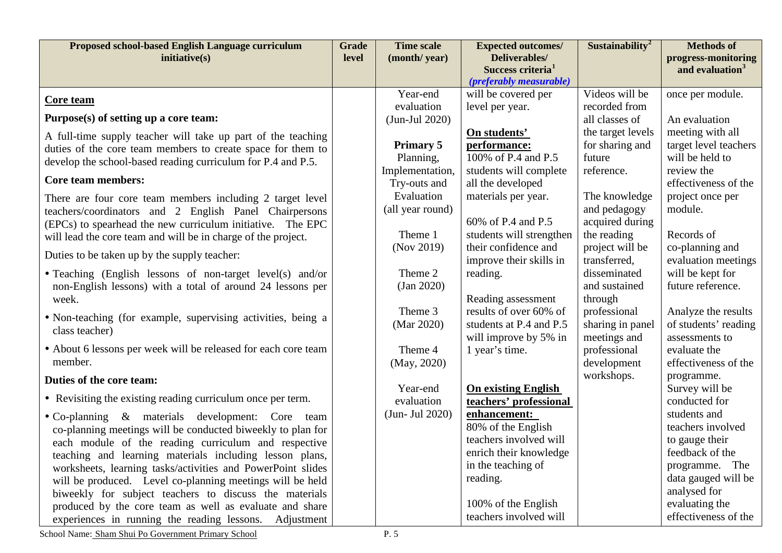| Proposed school-based English Language curriculum<br>inititative(s)                                             | <b>Grade</b><br>level | <b>Time scale</b><br>(month/year) | <b>Expected outcomes/</b><br>Deliverables/ | Sustainability <sup>2</sup>   | <b>Methods of</b>                                  |
|-----------------------------------------------------------------------------------------------------------------|-----------------------|-----------------------------------|--------------------------------------------|-------------------------------|----------------------------------------------------|
|                                                                                                                 |                       |                                   | Success criteria <sup>1</sup>              |                               | progress-monitoring<br>and evaluation <sup>3</sup> |
|                                                                                                                 |                       |                                   | (preferably measurable)                    |                               |                                                    |
| <u>Core team</u>                                                                                                |                       | Year-end                          | will be covered per                        | Videos will be                | once per module.                                   |
|                                                                                                                 |                       | evaluation                        | level per year.                            | recorded from                 |                                                    |
| Purpose(s) of setting up a core team:                                                                           |                       | $(Jun$ -Jul 2020)                 |                                            | all classes of                | An evaluation                                      |
| A full-time supply teacher will take up part of the teaching                                                    |                       |                                   | On students'                               | the target levels             | meeting with all                                   |
| duties of the core team members to create space for them to                                                     |                       | <b>Primary 5</b><br>Planning,     | performance:<br>100% of P.4 and P.5        | for sharing and<br>future     | target level teachers<br>will be held to           |
| develop the school-based reading curriculum for P.4 and P.5.                                                    |                       | Implementation,                   | students will complete                     | reference.                    | review the                                         |
| <b>Core team members:</b>                                                                                       |                       | Try-outs and                      | all the developed                          |                               | effectiveness of the                               |
| There are four core team members including 2 target level                                                       |                       | Evaluation                        | materials per year.                        | The knowledge                 | project once per                                   |
| teachers/coordinators and 2 English Panel Chairpersons                                                          |                       | (all year round)                  |                                            | and pedagogy                  | module.                                            |
| (EPCs) to spearhead the new curriculum initiative. The EPC                                                      |                       |                                   | 60% of P.4 and P.5                         | acquired during               |                                                    |
| will lead the core team and will be in charge of the project.                                                   |                       | Theme 1                           | students will strengthen                   | the reading                   | Records of                                         |
| Duties to be taken up by the supply teacher:                                                                    |                       | (Nov 2019)                        | their confidence and                       | project will be               | co-planning and                                    |
|                                                                                                                 |                       |                                   | improve their skills in                    | transferred,                  | evaluation meetings                                |
| • Teaching (English lessons of non-target level(s) and/or                                                       |                       | Theme 2                           | reading.                                   | disseminated<br>and sustained | will be kept for<br>future reference.              |
| non-English lessons) with a total of around 24 lessons per<br>week.                                             |                       | $\frac{1}{2}$ (Jan 2020)          | Reading assessment                         | through                       |                                                    |
|                                                                                                                 |                       | Theme 3                           | results of over 60% of                     | professional                  | Analyze the results                                |
| • Non-teaching (for example, supervising activities, being a                                                    |                       | (Mar 2020)                        | students at P.4 and P.5                    | sharing in panel              | of students' reading                               |
| class teacher)                                                                                                  |                       |                                   | will improve by 5% in                      | meetings and                  | assessments to                                     |
| • About 6 lessons per week will be released for each core team                                                  |                       | Theme 4                           | 1 year's time.                             | professional                  | evaluate the                                       |
| member.                                                                                                         |                       | (May, 2020)                       |                                            | development                   | effectiveness of the                               |
| Duties of the core team:                                                                                        |                       |                                   |                                            | workshops.                    | programme.                                         |
| • Revisiting the existing reading curriculum once per term.                                                     |                       | Year-end                          | <b>On existing English</b>                 |                               | Survey will be                                     |
|                                                                                                                 |                       | evaluation                        | teachers' professional                     |                               | conducted for                                      |
| • Co-planning & materials development: Core team                                                                |                       | $(Jun-Jul 2020)$                  | enhancement:<br>80% of the English         |                               | students and<br>teachers involved                  |
| co-planning meetings will be conducted biweekly to plan for                                                     |                       |                                   | teachers involved will                     |                               | to gauge their                                     |
| each module of the reading curriculum and respective<br>teaching and learning materials including lesson plans, |                       |                                   | enrich their knowledge                     |                               | feedback of the                                    |
| worksheets, learning tasks/activities and PowerPoint slides                                                     |                       |                                   | in the teaching of                         |                               | programme. The                                     |
| will be produced. Level co-planning meetings will be held                                                       |                       |                                   | reading.                                   |                               | data gauged will be                                |
| biweekly for subject teachers to discuss the materials                                                          |                       |                                   |                                            |                               | analysed for                                       |
| produced by the core team as well as evaluate and share                                                         |                       |                                   | 100% of the English                        |                               | evaluating the                                     |
| experiences in running the reading lessons. Adjustment                                                          |                       |                                   | teachers involved will                     |                               | effectiveness of the                               |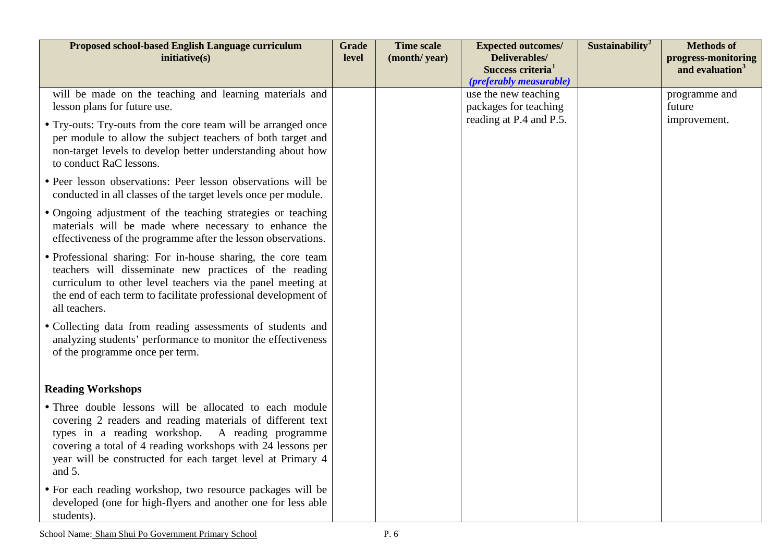| Proposed school-based English Language curriculum<br>initiative(s)                                                                                                                                                                                                                                                   | <b>Grade</b><br>level | <b>Time scale</b><br>(month/year) | <b>Expected outcomes/</b><br>Deliverables/<br>Success criteria <sup>1</sup><br>(preferably measurable) | Sustainability <sup>2</sup> | <b>Methods of</b><br>progress-monitoring<br>and evaluation <sup>3</sup> |
|----------------------------------------------------------------------------------------------------------------------------------------------------------------------------------------------------------------------------------------------------------------------------------------------------------------------|-----------------------|-----------------------------------|--------------------------------------------------------------------------------------------------------|-----------------------------|-------------------------------------------------------------------------|
| will be made on the teaching and learning materials and<br>lesson plans for future use.                                                                                                                                                                                                                              |                       |                                   | use the new teaching<br>packages for teaching                                                          |                             | programme and<br>future                                                 |
| • Try-outs: Try-outs from the core team will be arranged once<br>per module to allow the subject teachers of both target and<br>non-target levels to develop better understanding about how<br>to conduct RaC lessons.                                                                                               |                       |                                   | reading at P.4 and P.5.                                                                                |                             | improvement.                                                            |
| • Peer lesson observations: Peer lesson observations will be<br>conducted in all classes of the target levels once per module.                                                                                                                                                                                       |                       |                                   |                                                                                                        |                             |                                                                         |
| • Ongoing adjustment of the teaching strategies or teaching<br>materials will be made where necessary to enhance the<br>effectiveness of the programme after the lesson observations.                                                                                                                                |                       |                                   |                                                                                                        |                             |                                                                         |
| • Professional sharing: For in-house sharing, the core team<br>teachers will disseminate new practices of the reading<br>curriculum to other level teachers via the panel meeting at<br>the end of each term to facilitate professional development of<br>all teachers.                                              |                       |                                   |                                                                                                        |                             |                                                                         |
| • Collecting data from reading assessments of students and<br>analyzing students' performance to monitor the effectiveness<br>of the programme once per term.                                                                                                                                                        |                       |                                   |                                                                                                        |                             |                                                                         |
| <b>Reading Workshops</b>                                                                                                                                                                                                                                                                                             |                       |                                   |                                                                                                        |                             |                                                                         |
| • Three double lessons will be allocated to each module<br>covering 2 readers and reading materials of different text<br>types in a reading workshop. A reading programme<br>covering a total of 4 reading workshops with 24 lessons per<br>year will be constructed for each target level at Primary 4<br>and $5$ . |                       |                                   |                                                                                                        |                             |                                                                         |
| • For each reading workshop, two resource packages will be<br>developed (one for high-flyers and another one for less able<br>students).                                                                                                                                                                             |                       |                                   |                                                                                                        |                             |                                                                         |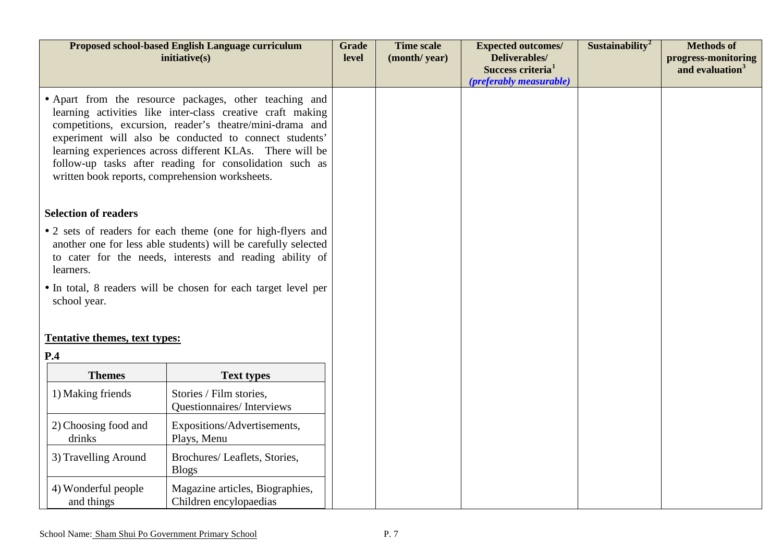|                                                                                                                                                                                                                                                                                                                                                                                                                       | Proposed school-based English Language curriculum<br>initiative(s) | <b>Grade</b><br>level | <b>Time scale</b><br>(month/year) | <b>Expected outcomes/</b><br>Deliverables/<br>Success criteria <sup>1</sup><br>(preferably measurable) | Sustainability <sup>2</sup> | <b>Methods of</b><br>progress-monitoring<br>and evaluation <sup>3</sup> |
|-----------------------------------------------------------------------------------------------------------------------------------------------------------------------------------------------------------------------------------------------------------------------------------------------------------------------------------------------------------------------------------------------------------------------|--------------------------------------------------------------------|-----------------------|-----------------------------------|--------------------------------------------------------------------------------------------------------|-----------------------------|-------------------------------------------------------------------------|
| • Apart from the resource packages, other teaching and<br>learning activities like inter-class creative craft making<br>competitions, excursion, reader's theatre/mini-drama and<br>experiment will also be conducted to connect students'<br>learning experiences across different KLAs. There will be<br>follow-up tasks after reading for consolidation such as<br>written book reports, comprehension worksheets. |                                                                    |                       |                                   |                                                                                                        |                             |                                                                         |
| <b>Selection of readers</b>                                                                                                                                                                                                                                                                                                                                                                                           |                                                                    |                       |                                   |                                                                                                        |                             |                                                                         |
| • 2 sets of readers for each theme (one for high-flyers and<br>another one for less able students) will be carefully selected<br>to cater for the needs, interests and reading ability of<br>learners.                                                                                                                                                                                                                |                                                                    |                       |                                   |                                                                                                        |                             |                                                                         |
| school year.                                                                                                                                                                                                                                                                                                                                                                                                          | • In total, 8 readers will be chosen for each target level per     |                       |                                   |                                                                                                        |                             |                                                                         |
| Tentative themes, text types:<br>P.4                                                                                                                                                                                                                                                                                                                                                                                  |                                                                    |                       |                                   |                                                                                                        |                             |                                                                         |
| <b>Themes</b>                                                                                                                                                                                                                                                                                                                                                                                                         | <b>Text types</b>                                                  |                       |                                   |                                                                                                        |                             |                                                                         |
| 1) Making friends                                                                                                                                                                                                                                                                                                                                                                                                     | Stories / Film stories,<br>Questionnaires/Interviews               |                       |                                   |                                                                                                        |                             |                                                                         |
| 2) Choosing food and<br>drinks                                                                                                                                                                                                                                                                                                                                                                                        | Expositions/Advertisements,<br>Plays, Menu                         |                       |                                   |                                                                                                        |                             |                                                                         |
| 3) Travelling Around                                                                                                                                                                                                                                                                                                                                                                                                  | Brochures/ Leaflets, Stories,<br><b>Blogs</b>                      |                       |                                   |                                                                                                        |                             |                                                                         |
| 4) Wonderful people<br>and things                                                                                                                                                                                                                                                                                                                                                                                     | Magazine articles, Biographies,<br>Children encylopaedias          |                       |                                   |                                                                                                        |                             |                                                                         |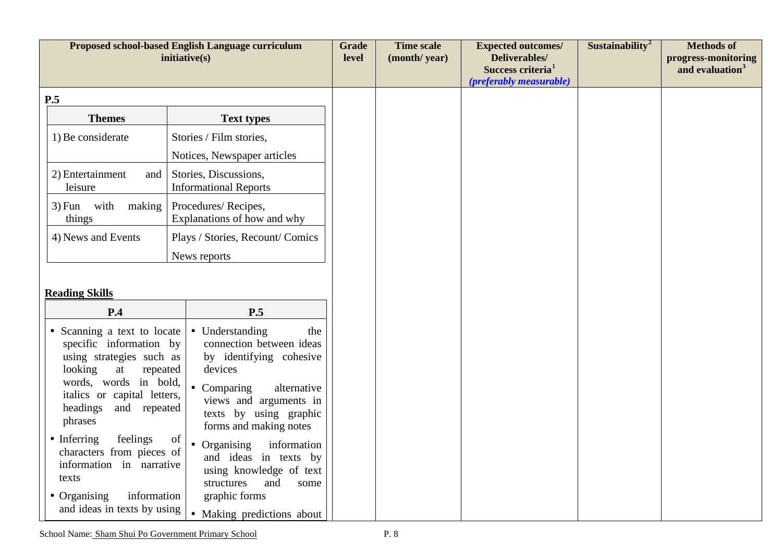|                                                                                                                                                                                                                                                                                                                                                                                  | Proposed school-based English Language curriculum<br>initiative(s)                                                                                                                                                                                                                                                                                                               | <b>Grade</b><br>level | <b>Time scale</b><br>(month/year) | <b>Expected outcomes/</b><br>Deliverables/<br>Success criteria <sup>1</sup><br><i>(preferably measurable)</i> | Sustainability <sup>2</sup> | <b>Methods of</b><br>progress-monitoring<br>and evaluation <sup>3</sup> |
|----------------------------------------------------------------------------------------------------------------------------------------------------------------------------------------------------------------------------------------------------------------------------------------------------------------------------------------------------------------------------------|----------------------------------------------------------------------------------------------------------------------------------------------------------------------------------------------------------------------------------------------------------------------------------------------------------------------------------------------------------------------------------|-----------------------|-----------------------------------|---------------------------------------------------------------------------------------------------------------|-----------------------------|-------------------------------------------------------------------------|
| P.5                                                                                                                                                                                                                                                                                                                                                                              |                                                                                                                                                                                                                                                                                                                                                                                  |                       |                                   |                                                                                                               |                             |                                                                         |
| <b>Themes</b>                                                                                                                                                                                                                                                                                                                                                                    | <b>Text types</b>                                                                                                                                                                                                                                                                                                                                                                |                       |                                   |                                                                                                               |                             |                                                                         |
| 1) Be considerate                                                                                                                                                                                                                                                                                                                                                                | Stories / Film stories,                                                                                                                                                                                                                                                                                                                                                          |                       |                                   |                                                                                                               |                             |                                                                         |
|                                                                                                                                                                                                                                                                                                                                                                                  | Notices, Newspaper articles                                                                                                                                                                                                                                                                                                                                                      |                       |                                   |                                                                                                               |                             |                                                                         |
| 2) Entertainment<br>and<br>leisure                                                                                                                                                                                                                                                                                                                                               | Stories, Discussions,<br><b>Informational Reports</b>                                                                                                                                                                                                                                                                                                                            |                       |                                   |                                                                                                               |                             |                                                                         |
| $3)$ Fun with<br>making<br>things                                                                                                                                                                                                                                                                                                                                                | Procedures/Recipes,<br>Explanations of how and why                                                                                                                                                                                                                                                                                                                               |                       |                                   |                                                                                                               |                             |                                                                         |
| 4) News and Events                                                                                                                                                                                                                                                                                                                                                               | Plays / Stories, Recount/ Comics                                                                                                                                                                                                                                                                                                                                                 |                       |                                   |                                                                                                               |                             |                                                                         |
|                                                                                                                                                                                                                                                                                                                                                                                  | News reports                                                                                                                                                                                                                                                                                                                                                                     |                       |                                   |                                                                                                               |                             |                                                                         |
| <b>Reading Skills</b>                                                                                                                                                                                                                                                                                                                                                            |                                                                                                                                                                                                                                                                                                                                                                                  |                       |                                   |                                                                                                               |                             |                                                                         |
| P.4<br>• Scanning a text to locate<br>specific information by<br>using strategies such as<br>looking<br>at<br>repeated<br>words, words in bold,<br>italics or capital letters,<br>headings<br>and repeated<br>phrases<br>feelings<br>• Inferring<br>characters from pieces of<br>information in narrative<br>texts<br>• Organising<br>information<br>and ideas in texts by using | P.5<br>• Understanding<br>the<br>connection between ideas<br>by identifying cohesive<br>devices<br>• Comparing<br>alternative<br>views and arguments in<br>texts by using graphic<br>forms and making notes<br>of<br>• Organising<br>information<br>and ideas in texts by<br>using knowledge of text<br>structures<br>and<br>some<br>graphic forms<br>• Making predictions about |                       |                                   |                                                                                                               |                             |                                                                         |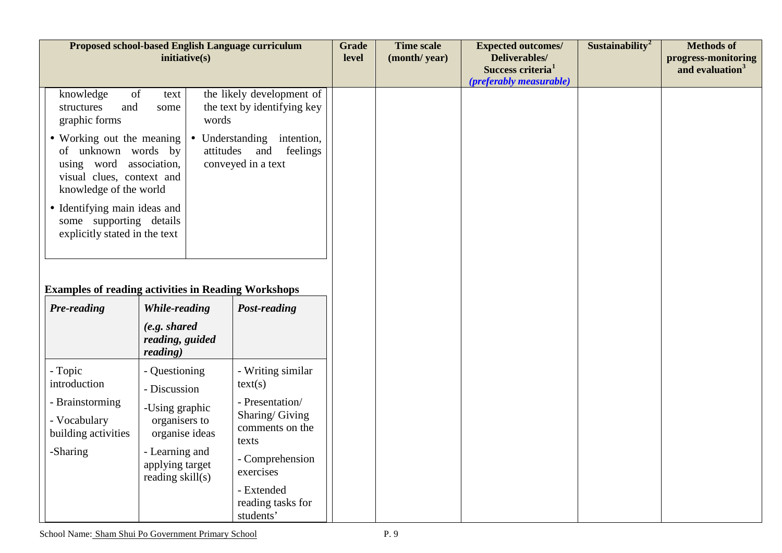| inititative(s)                                                                                                                                                                                                   |                                                                                                                                                                  | <b>Grade</b><br>level                                                                                                                                                                | <b>Time scale</b><br>(month/year) | <b>Expected outcomes/</b><br><b>Deliverables/</b><br>Success criteria <sup>1</sup><br>(preferably measurable) | Sustainability <sup>2</sup> | <b>Methods of</b><br>progress-monitoring<br>and evaluation <sup>3</sup> |
|------------------------------------------------------------------------------------------------------------------------------------------------------------------------------------------------------------------|------------------------------------------------------------------------------------------------------------------------------------------------------------------|--------------------------------------------------------------------------------------------------------------------------------------------------------------------------------------|-----------------------------------|---------------------------------------------------------------------------------------------------------------|-----------------------------|-------------------------------------------------------------------------|
| of<br>text<br>some                                                                                                                                                                                               |                                                                                                                                                                  |                                                                                                                                                                                      |                                   |                                                                                                               |                             |                                                                         |
| • Working out the meaning<br>• Understanding intention,<br>attitudes and feelings<br>of unknown words by<br>conveyed in a text<br>using word association,<br>visual clues, context and<br>knowledge of the world |                                                                                                                                                                  |                                                                                                                                                                                      |                                   |                                                                                                               |                             |                                                                         |
| · Identifying main ideas and<br>some supporting details<br>explicitly stated in the text                                                                                                                         |                                                                                                                                                                  |                                                                                                                                                                                      |                                   |                                                                                                               |                             |                                                                         |
|                                                                                                                                                                                                                  |                                                                                                                                                                  |                                                                                                                                                                                      |                                   |                                                                                                               |                             |                                                                         |
| <b>While-reading</b><br>(e.g. shared)<br>reading, guided<br>reading)                                                                                                                                             | Post-reading                                                                                                                                                     |                                                                                                                                                                                      |                                   |                                                                                                               |                             |                                                                         |
| - Questioning<br>- Discussion<br>-Using graphic<br>organisers to<br>organise ideas<br>- Learning and<br>applying target<br>reading skill(s)                                                                      | - Writing similar<br>text(s)<br>- Presentation/<br>Sharing/Giving<br>comments on the<br>texts<br>- Comprehension<br>exercises<br>- Extended<br>reading tasks for |                                                                                                                                                                                      |                                   |                                                                                                               |                             |                                                                         |
|                                                                                                                                                                                                                  |                                                                                                                                                                  | Proposed school-based English Language curriculum<br>the likely development of<br>the text by identifying key<br>words<br><b>Examples of reading activities in Reading Workshops</b> |                                   |                                                                                                               |                             |                                                                         |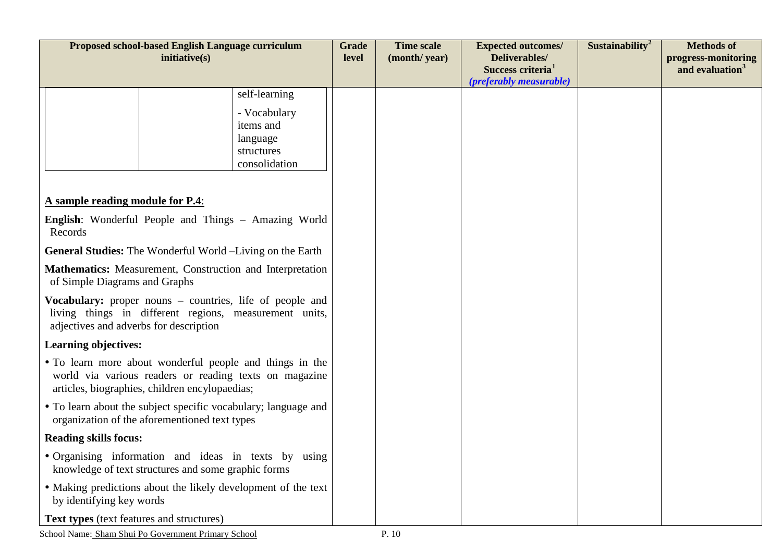| Proposed school-based English Language curriculum<br>inititative(s)                                                                                                  |  | <b>Grade</b><br>level                                                | <b>Time scale</b><br>(month/year) | <b>Expected outcomes/</b><br>Deliverables/<br>Success criteria <sup>1</sup><br>(preferably measurable) | Sustainability <sup>2</sup> | <b>Methods of</b><br>progress-monitoring<br>and evaluation <sup>3</sup> |  |
|----------------------------------------------------------------------------------------------------------------------------------------------------------------------|--|----------------------------------------------------------------------|-----------------------------------|--------------------------------------------------------------------------------------------------------|-----------------------------|-------------------------------------------------------------------------|--|
|                                                                                                                                                                      |  | self-learning                                                        |                                   |                                                                                                        |                             |                                                                         |  |
|                                                                                                                                                                      |  | - Vocabulary<br>items and<br>language<br>structures<br>consolidation |                                   |                                                                                                        |                             |                                                                         |  |
| A sample reading module for P.4:                                                                                                                                     |  |                                                                      |                                   |                                                                                                        |                             |                                                                         |  |
| <b>English:</b> Wonderful People and Things – Amazing World<br>Records                                                                                               |  |                                                                      |                                   |                                                                                                        |                             |                                                                         |  |
| <b>General Studies:</b> The Wonderful World -Living on the Earth                                                                                                     |  |                                                                      |                                   |                                                                                                        |                             |                                                                         |  |
| Mathematics: Measurement, Construction and Interpretation<br>of Simple Diagrams and Graphs                                                                           |  |                                                                      |                                   |                                                                                                        |                             |                                                                         |  |
| <b>Vocabulary:</b> proper nouns – countries, life of people and<br>living things in different regions, measurement units,<br>adjectives and adverbs for description  |  |                                                                      |                                   |                                                                                                        |                             |                                                                         |  |
| <b>Learning objectives:</b>                                                                                                                                          |  |                                                                      |                                   |                                                                                                        |                             |                                                                         |  |
| • To learn more about wonderful people and things in the<br>world via various readers or reading texts on magazine<br>articles, biographies, children encylopaedias; |  |                                                                      |                                   |                                                                                                        |                             |                                                                         |  |
| • To learn about the subject specific vocabulary; language and<br>organization of the aforementioned text types                                                      |  |                                                                      |                                   |                                                                                                        |                             |                                                                         |  |
| <b>Reading skills focus:</b>                                                                                                                                         |  |                                                                      |                                   |                                                                                                        |                             |                                                                         |  |
| · Organising information and ideas in texts by using<br>knowledge of text structures and some graphic forms                                                          |  |                                                                      |                                   |                                                                                                        |                             |                                                                         |  |
| • Making predictions about the likely development of the text<br>by identifying key words                                                                            |  |                                                                      |                                   |                                                                                                        |                             |                                                                         |  |
| Text types (text features and structures)                                                                                                                            |  |                                                                      |                                   |                                                                                                        |                             |                                                                         |  |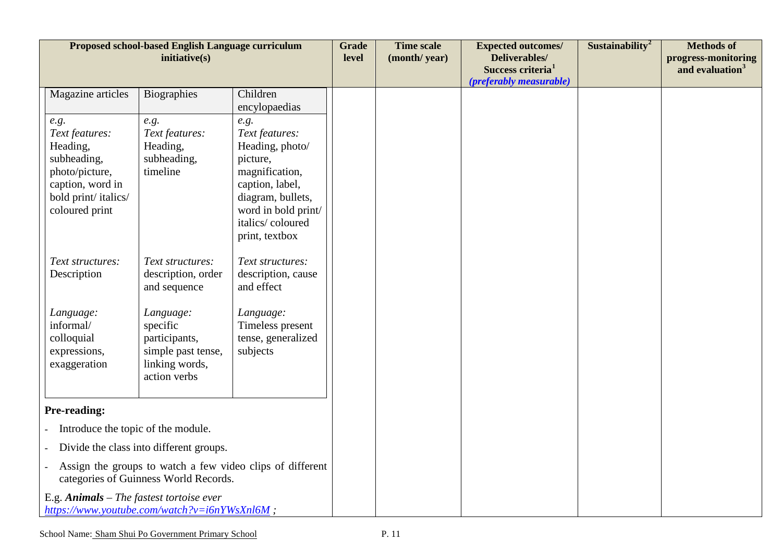| Proposed school-based English Language curriculum<br>initiative(s)                                                               |                                                                                                                                                          |                                                                                                                                                            | <b>Grade</b><br>level | <b>Time scale</b><br>(month/year) | <b>Expected outcomes/</b><br>Deliverables/<br>Success criteria <sup>1</sup><br>(preferably measurable) | Sustainability <sup>2</sup> | <b>Methods of</b><br>progress-monitoring<br>and evaluation <sup>3</sup> |
|----------------------------------------------------------------------------------------------------------------------------------|----------------------------------------------------------------------------------------------------------------------------------------------------------|------------------------------------------------------------------------------------------------------------------------------------------------------------|-----------------------|-----------------------------------|--------------------------------------------------------------------------------------------------------|-----------------------------|-------------------------------------------------------------------------|
| Magazine articles                                                                                                                | Biographies                                                                                                                                              | Children                                                                                                                                                   |                       |                                   |                                                                                                        |                             |                                                                         |
|                                                                                                                                  |                                                                                                                                                          | encylopaedias                                                                                                                                              |                       |                                   |                                                                                                        |                             |                                                                         |
| e.g.<br>Text features:<br>Heading,<br>subheading,<br>photo/picture,<br>caption, word in<br>bold print/italics/<br>coloured print | e.g.<br>Text features:<br>Heading,<br>subheading,<br>timeline                                                                                            | e.g.<br>Text features:<br>Heading, photo/<br>picture,<br>magnification,<br>caption, label,<br>diagram, bullets,<br>word in bold print/<br>italics/coloured |                       |                                   |                                                                                                        |                             |                                                                         |
| Text structures:<br>Description<br>Language:<br>informal/<br>colloquial<br>expressions,<br>exaggeration                          | Text structures:<br>description, order<br>and sequence<br>Language:<br>specific<br>participants,<br>simple past tense,<br>linking words,<br>action verbs | print, textbox<br>Text structures:<br>description, cause<br>and effect<br>Language:<br>Timeless present<br>tense, generalized<br>subjects                  |                       |                                   |                                                                                                        |                             |                                                                         |
| Pre-reading:                                                                                                                     |                                                                                                                                                          |                                                                                                                                                            |                       |                                   |                                                                                                        |                             |                                                                         |
| Introduce the topic of the module.                                                                                               |                                                                                                                                                          |                                                                                                                                                            |                       |                                   |                                                                                                        |                             |                                                                         |
| Divide the class into different groups.                                                                                          |                                                                                                                                                          |                                                                                                                                                            |                       |                                   |                                                                                                        |                             |                                                                         |
| Assign the groups to watch a few video clips of different<br>categories of Guinness World Records.                               |                                                                                                                                                          |                                                                                                                                                            |                       |                                   |                                                                                                        |                             |                                                                         |
| E.g. $Animals$ – The fastest tortoise ever<br>https://www.youtube.com/watch?v=i6nYWsXnl6M;                                       |                                                                                                                                                          |                                                                                                                                                            |                       |                                   |                                                                                                        |                             |                                                                         |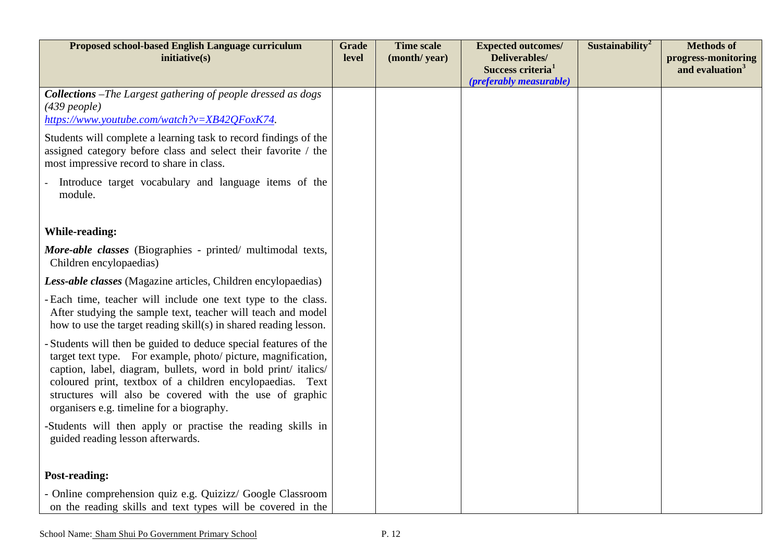| Proposed school-based English Language curriculum<br>initiative(s)                                                                                                                                | <b>Grade</b><br>level | <b>Time scale</b><br>(month/year) | <b>Expected outcomes/</b><br>Deliverables/               | Sustainability <sup>2</sup> | <b>Methods of</b><br>progress-monitoring |
|---------------------------------------------------------------------------------------------------------------------------------------------------------------------------------------------------|-----------------------|-----------------------------------|----------------------------------------------------------|-----------------------------|------------------------------------------|
|                                                                                                                                                                                                   |                       |                                   | Success criteria <sup>1</sup><br>(preferably measurable) |                             | and evaluation <sup>3</sup>              |
| Collections -The Largest gathering of people dressed as dogs                                                                                                                                      |                       |                                   |                                                          |                             |                                          |
| $(439$ people)<br>https://www.youtube.com/watch?v=XB42QFoxK74.                                                                                                                                    |                       |                                   |                                                          |                             |                                          |
| Students will complete a learning task to record findings of the<br>assigned category before class and select their favorite / the<br>most impressive record to share in class.                   |                       |                                   |                                                          |                             |                                          |
| Introduce target vocabulary and language items of the<br>module.                                                                                                                                  |                       |                                   |                                                          |                             |                                          |
| <b>While-reading:</b>                                                                                                                                                                             |                       |                                   |                                                          |                             |                                          |
| More-able classes (Biographies - printed/ multimodal texts,<br>Children encylopaedias)                                                                                                            |                       |                                   |                                                          |                             |                                          |
| Less-able classes (Magazine articles, Children encylopaedias)                                                                                                                                     |                       |                                   |                                                          |                             |                                          |
| - Each time, teacher will include one text type to the class.<br>After studying the sample text, teacher will teach and model<br>how to use the target reading skill(s) in shared reading lesson. |                       |                                   |                                                          |                             |                                          |
| - Students will then be guided to deduce special features of the<br>target text type. For example, photo/ picture, magnification,                                                                 |                       |                                   |                                                          |                             |                                          |
| caption, label, diagram, bullets, word in bold print/ italics/<br>coloured print, textbox of a children encylopaedias. Text                                                                       |                       |                                   |                                                          |                             |                                          |
| structures will also be covered with the use of graphic<br>organisers e.g. timeline for a biography.                                                                                              |                       |                                   |                                                          |                             |                                          |
| -Students will then apply or practise the reading skills in<br>guided reading lesson afterwards.                                                                                                  |                       |                                   |                                                          |                             |                                          |
|                                                                                                                                                                                                   |                       |                                   |                                                          |                             |                                          |
| <b>Post-reading:</b>                                                                                                                                                                              |                       |                                   |                                                          |                             |                                          |
| - Online comprehension quiz e.g. Quizizz/ Google Classroom<br>on the reading skills and text types will be covered in the                                                                         |                       |                                   |                                                          |                             |                                          |